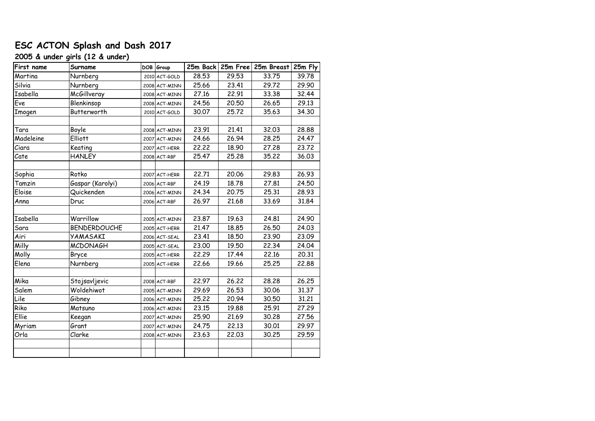# **ESC ACTON Splash and Dash 2017**

## **2005 & under girls (12 & under)**

| First name | Surname             | DOB Group          |       |       | 25m Back 25m Free 25m Breast 25m Fly |       |
|------------|---------------------|--------------------|-------|-------|--------------------------------------|-------|
| Martina    | Nurnberg            | 2010 ACT-GOLD      | 28.53 | 29.53 | 33.75                                | 39.78 |
| Silvia     | Nurnberg            | 2008 ACT-MINN      | 25.66 | 23.41 | 29.72                                | 29.90 |
| Isabella   | McGillveray         | 2008 ACT-MINN      | 27.16 | 22.91 | 33.38                                | 32.44 |
| Eve        | Blenkinsop          | 2008 ACT-MINN      | 24.56 | 20.50 | 26.65                                | 29.13 |
| Imogen     | Butterworth         | 2010 ACT-GOLD      | 30.07 | 25.72 | 35.63                                | 34.30 |
|            |                     |                    |       |       |                                      |       |
| Tara       | Boyle               | $2008$ $ACT$ -MINN | 23.91 | 21.41 | 32.03                                | 28.88 |
| Madeleine  | <b>Elliott</b>      | 2007 ACT-MINN      | 24.66 | 26.94 | 28.25                                | 24.47 |
| Ciara      | Keating             | 2007 ACT-HERR      | 22,22 | 18.90 | 27.28                                | 23.72 |
| Cate       | <b>HANLEY</b>       | 2008 ACT-RBF       | 25.47 | 25.28 | 35.22                                | 36.03 |
|            |                     |                    |       |       |                                      |       |
| Sophia     | Rotko               | 2007 ACT-HERR      | 22.71 | 20.06 | 29.83                                | 26.93 |
| Tamzin     | Gaspar (Karolyi)    | 2006 ACT-RBF       | 24.19 | 18.78 | 27.81                                | 24.50 |
| Eloise     | Quickenden          | 2006 ACT-MINN      | 24.34 | 20.75 | 25.31                                | 28.93 |
| Anna       | Druc                | 2006 ACT-RBF       | 26.97 | 21.68 | 33.69                                | 31.84 |
|            |                     |                    |       |       |                                      |       |
| Isabella   | Warrillow           | 2005 ACT-MINN      | 23.87 | 19.63 | 24.81                                | 24.90 |
| Sara       | <b>BENDERDOUCHE</b> | 2005 ACT-HERR      | 21.47 | 18.85 | 26.50                                | 24.03 |
| Airi       | <b>YAMASAKI</b>     | 2006 ACT-SEAL      | 23.41 | 18.50 | 23.90                                | 23.09 |
| Milly      | <b>MCDONAGH</b>     | 2005 ACT-SEAL      | 23.00 | 19.50 | 22.34                                | 24.04 |
| Molly      | Bryce               | 2005 ACT-HERR      | 22.29 | 17.44 | 22.16                                | 20.31 |
| Elena      | Nurnberg            | 2005 ACT-HERR      | 22.66 | 19.66 | 25.25                                | 22.88 |
|            |                     |                    |       |       |                                      |       |
| Mika       | Stojsavljevic       | 2008 ACT-RBF       | 22.97 | 26.22 | 28.28                                | 26.25 |
| Salem      | Woldehiwot          | 2005 ACT-MINN      | 29.69 | 26.53 | 30.06                                | 31.37 |
| Lile       | Gibney              | 2006 ACT-MINN      | 25.22 | 20.94 | 30.50                                | 31.21 |
| Riko       | Matsuno             | 2006 ACT-MINN      | 23.15 | 19.88 | 25.91                                | 27.29 |
| Ellie      | Keegan              | 2007 ACT-MINN      | 25.90 | 21.69 | 30.28                                | 27.56 |
| Myriam     | Grant               | 2007 ACT-MINN      | 24.75 | 22.13 | 30.01                                | 29.97 |
| Orla       | Clarke              | 2008 ACT-MINN      | 23.63 | 22.03 | 30.25                                | 29.59 |
|            |                     |                    |       |       |                                      |       |
|            |                     |                    |       |       |                                      |       |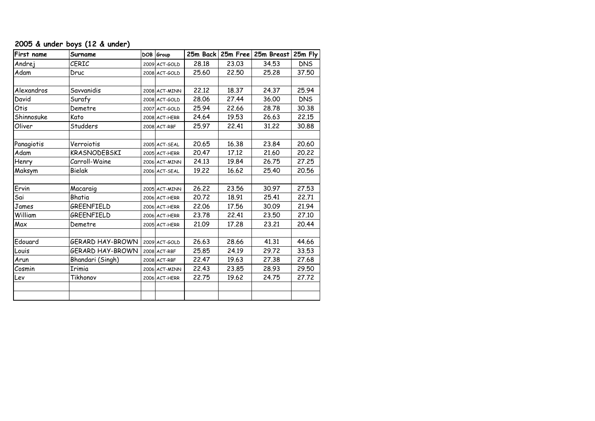## **2005 & under boys (12 & under)**

| First name | Surname          | DOB Group     |       |       | 25m Back 25m Free 25m Breast 25m Fly |            |
|------------|------------------|---------------|-------|-------|--------------------------------------|------------|
| Andrej     | CERIC            | 2009 ACT-GOLD | 28.18 | 23.03 | 34.53                                | <b>DNS</b> |
| Adam       | Druc             | 2008 ACT-GOLD | 25.60 | 22.50 | 25.28                                | 37.50      |
|            |                  |               |       |       |                                      |            |
| Alexandros | Savvanidis       | 2008 ACT-MINN | 22.12 | 18.37 | 24.37                                | 25.94      |
| David      | Surafy           | 2008 ACT-GOLD | 28.06 | 27.44 | 36.00                                | <b>DNS</b> |
| Otis       | Demetre          | 2007 ACT-GOLD | 25.94 | 22.66 | 28.78                                | 30.38      |
| Shinnosuke | Kato             | 2008 ACT-HERR | 24.64 | 19.53 | 26.63                                | 22.15      |
| Oliver     | Studders         | 2008 ACT-RBF  | 25.97 | 22.41 | 31.22                                | 30.88      |
|            |                  |               |       |       |                                      |            |
| Panagiotis | Verroiotis       | 2005 ACT-SEAL | 20.65 | 16.38 | 23.84                                | 20.60      |
| Adam       | KRASNODEBSKI     | 2005 ACT-HERR | 20.47 | 17.12 | 21.60                                | 20.22      |
| Henry      | Carroll-Waine    | 2006 ACT-MINN | 24.13 | 19.84 | 26.75                                | 27.25      |
| Maksym     | Bielak           | 2006 ACT-SEAL | 19,22 | 16.62 | 25.40                                | 20,56      |
|            |                  |               |       |       |                                      |            |
| Ervin      | Macaraig         | 2005 ACT-MINN | 26.22 | 23.56 | 30.97                                | 27.53      |
| Sai        | Bhatia           | 2006 ACT-HERR | 20.72 | 18.91 | 25.41                                | 22.71      |
| James      | GREENFIELD       | 2006 ACT-HERR | 22.06 | 17.56 | 30.09                                | 21.94      |
| William    | GREENFIELD       | 2006 ACT-HERR | 23.78 | 22.41 | 23.50                                | 27.10      |
| Max        | Demetre          | 2005 ACT-HERR | 21.09 | 17.28 | 23.21                                | 20.44      |
|            |                  |               |       |       |                                      |            |
| Edouard    | GERARD HAY-BROWN | 2009 ACT-GOLD | 26.63 | 28.66 | 41.31                                | 44.66      |
| Louis      | GERARD HAY-BROWN | 2008 ACT-RBF  | 25.85 | 24.19 | 29.72                                | 33.53      |
| Arun       | Bhandari (Singh) | 2008 ACT-RBF  | 22.47 | 19.63 | 27.38                                | 27.68      |
| Cosmin     | <b>Irimia</b>    | 2006 ACT-MINN | 22.43 | 23.85 | 28.93                                | 29.50      |
| Lev        | Tikhonov         | 2006 ACT-HERR | 22.75 | 19.62 | 24.75                                | 27.72      |
|            |                  |               |       |       |                                      |            |
|            |                  |               |       |       |                                      |            |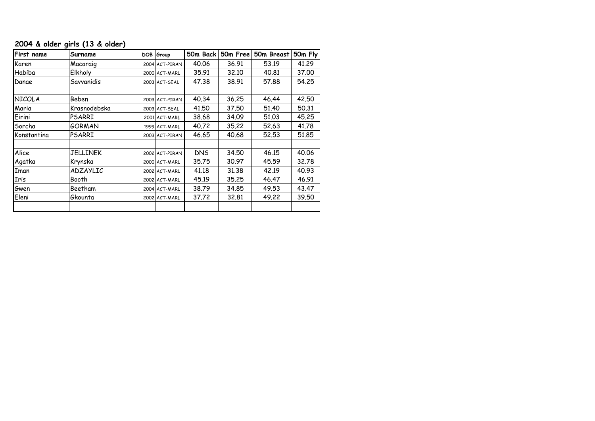### **2004 & older girls (13 & older)**

| First name    | Surname       | DOB Group      | 50m Back   | 50m Free | 50m Breast | 50m Fly |
|---------------|---------------|----------------|------------|----------|------------|---------|
| Karen         | Macaraig      | 2004 ACT-PIRAN | 40.06      | 36.91    | 53.19      | 41.29   |
| Habiba        | Elkholy       | 2000 ACT-MARL  | 35.91      | 32,10    | 40.81      | 37,00   |
| Danae         | Savvanidis    | 2003 ACT-SEAL  | 47.38      | 38.91    | 57,88      | 54.25   |
|               |               |                |            |          |            |         |
| <b>NICOLA</b> | Beben         | 2003 ACT-PIRAN | 40.34      | 36.25    | 46.44      | 42,50   |
| Maria         | Krasnodebska  | 2003 ACT-SEAL  | 41,50      | 37.50    | 51,40      | 50.31   |
| Eirini        | PSARRI        | 2001 ACT-MARL  | 38.68      | 34.09    | 51,03      | 45,25   |
| Sorcha        | GORMAN        | 1999 ACT-MARL  | 40.72      | 35,22    | 52.63      | 41,78   |
| Konstantina   | <b>PSARRI</b> | 2003 ACT-PIRAN | 46.65      | 40.68    | 52,53      | 51,85   |
|               |               |                |            |          |            |         |
| Alice         | JELLINEK      | 2002 ACT-PIRAN | <b>DNS</b> | 34.50    | 46.15      | 40.06   |
| Agatka        | Krynska       | 2000 ACT-MARL  | 35,75      | 30.97    | 45.59      | 32,78   |
| Iman          | ADZAYLIC      | 2002 ACT-MARL  | 41.18      | 31,38    | 42.19      | 40.93   |
| Iris          | Booth         | 2002 ACT-MARL  | 45.19      | 35,25    | 46.47      | 46.91   |
| Gwen          | Beetham       | 2004 ACT-MARL  | 38.79      | 34.85    | 49.53      | 43.47   |
| Eleni         | Gkounta       | 2002 ACT-MARL  | 37,72      | 32,81    | 49.22      | 39.50   |
|               |               |                |            |          |            |         |